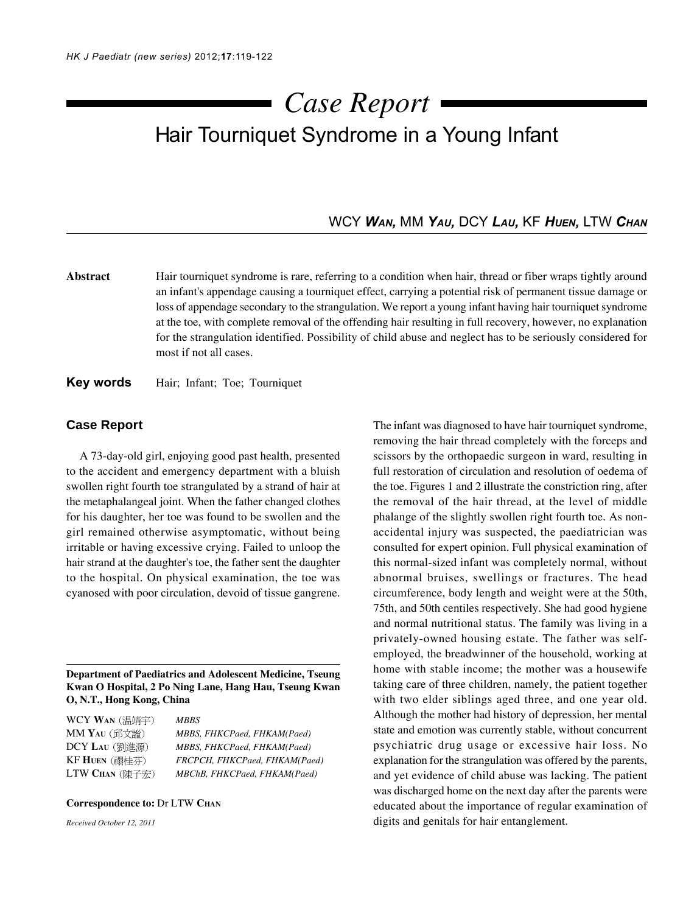# Hair Tourniquet Syndrome in a Young Infant *Case Report*

## WCY *WAN,* MM *YAU,* DCY *LAU,* KF *HUEN,* LTW *CHAN*

**Abstract** Hair tourniquet syndrome is rare, referring to a condition when hair, thread or fiber wraps tightly around an infant's appendage causing a tourniquet effect, carrying a potential risk of permanent tissue damage or loss of appendage secondary to the strangulation. We report a young infant having hair tourniquet syndrome at the toe, with complete removal of the offending hair resulting in full recovery, however, no explanation for the strangulation identified. Possibility of child abuse and neglect has to be seriously considered for most if not all cases.

**Key words** Hair; Infant; Toe; Tourniquet

## **Case Report**

A 73-day-old girl, enjoying good past health, presented to the accident and emergency department with a bluish swollen right fourth toe strangulated by a strand of hair at the metaphalangeal joint. When the father changed clothes for his daughter, her toe was found to be swollen and the girl remained otherwise asymptomatic, without being irritable or having excessive crying. Failed to unloop the hair strand at the daughter's toe, the father sent the daughter to the hospital. On physical examination, the toe was cyanosed with poor circulation, devoid of tissue gangrene.

**Department of Paediatrics and Adolescent Medicine, Tseung Kwan O Hospital, 2 Po Ning Lane, Hang Hau, Tseung Kwan O, N.T., Hong Kong, China**

WCY **WAN** *MBBS*

MM **YAU** *MBBS, FHKCPaed, FHKAM(Paed)* DCY **LAU** *MBBS, FHKCPaed, FHKAM(Paed)* KF **HUEN** *FRCPCH, FHKCPaed, FHKAM(Paed)* LTW **CHAN** *MBChB, FHKCPaed, FHKAM(Paed)*

#### **Correspondence to:** Dr LTW **CHAN**

*Received October 12, 2011*

The infant was diagnosed to have hair tourniquet syndrome, removing the hair thread completely with the forceps and scissors by the orthopaedic surgeon in ward, resulting in full restoration of circulation and resolution of oedema of the toe. Figures 1 and 2 illustrate the constriction ring, after the removal of the hair thread, at the level of middle phalange of the slightly swollen right fourth toe. As nonaccidental injury was suspected, the paediatrician was consulted for expert opinion. Full physical examination of this normal-sized infant was completely normal, without abnormal bruises, swellings or fractures. The head circumference, body length and weight were at the 50th, 75th, and 50th centiles respectively. She had good hygiene and normal nutritional status. The family was living in a privately-owned housing estate. The father was selfemployed, the breadwinner of the household, working at home with stable income; the mother was a housewife taking care of three children, namely, the patient together with two elder siblings aged three, and one year old. Although the mother had history of depression, her mental state and emotion was currently stable, without concurrent psychiatric drug usage or excessive hair loss. No explanation for the strangulation was offered by the parents, and yet evidence of child abuse was lacking. The patient was discharged home on the next day after the parents were educated about the importance of regular examination of digits and genitals for hair entanglement.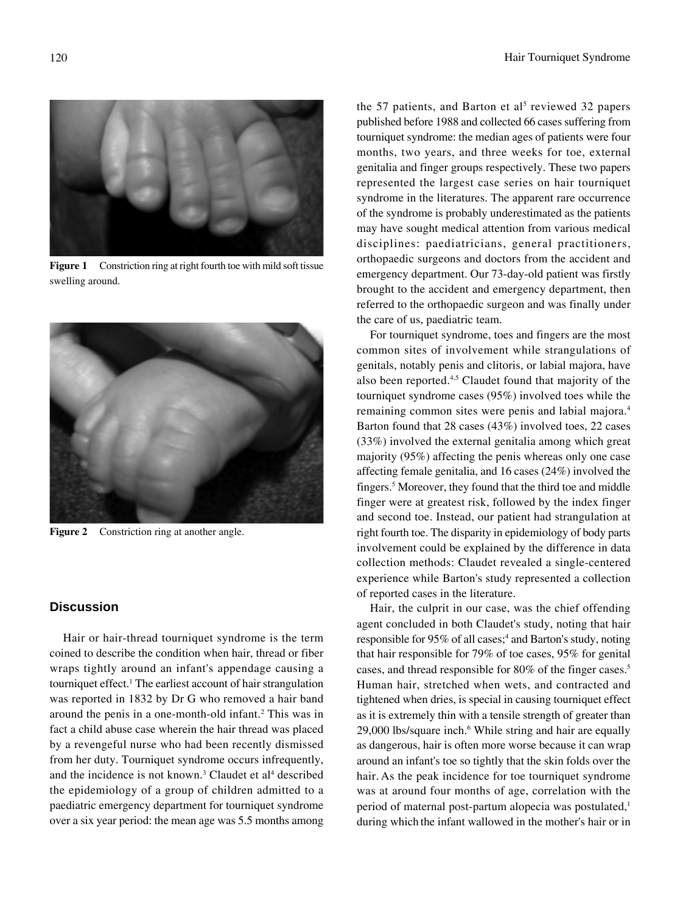Figure 1 Constriction ring at right fourth toe with mild soft tissue swelling around.



**Figure 2** Constriction ring at another angle.

## **Discussion**

Hair or hair-thread tourniquet syndrome is the term coined to describe the condition when hair, thread or fiber wraps tightly around an infant's appendage causing a tourniquet effect.1 The earliest account of hair strangulation was reported in 1832 by Dr G who removed a hair band around the penis in a one-month-old infant.<sup>2</sup> This was in fact a child abuse case wherein the hair thread was placed by a revengeful nurse who had been recently dismissed from her duty. Tourniquet syndrome occurs infrequently, and the incidence is not known.<sup>3</sup> Claudet et al<sup>4</sup> described the epidemiology of a group of children admitted to a paediatric emergency department for tourniquet syndrome over a six year period: the mean age was 5.5 months among

the 57 patients, and Barton et  $al<sup>5</sup>$  reviewed 32 papers published before 1988 and collected 66 cases suffering from tourniquet syndrome: the median ages of patients were four months, two years, and three weeks for toe, external genitalia and finger groups respectively. These two papers represented the largest case series on hair tourniquet syndrome in the literatures. The apparent rare occurrence of the syndrome is probably underestimated as the patients may have sought medical attention from various medical disciplines: paediatricians, general practitioners, orthopaedic surgeons and doctors from the accident and emergency department. Our 73-day-old patient was firstly brought to the accident and emergency department, then referred to the orthopaedic surgeon and was finally under the care of us, paediatric team.

For tourniquet syndrome, toes and fingers are the most common sites of involvement while strangulations of genitals, notably penis and clitoris, or labial majora, have also been reported.4,5 Claudet found that majority of the tourniquet syndrome cases (95%) involved toes while the remaining common sites were penis and labial majora.4 Barton found that 28 cases (43%) involved toes, 22 cases (33%) involved the external genitalia among which great majority (95%) affecting the penis whereas only one case affecting female genitalia, and 16 cases (24%) involved the fingers.5 Moreover, they found that the third toe and middle finger were at greatest risk, followed by the index finger and second toe. Instead, our patient had strangulation at right fourth toe. The disparity in epidemiology of body parts involvement could be explained by the difference in data collection methods: Claudet revealed a single-centered experience while Barton's study represented a collection of reported cases in the literature.

Hair, the culprit in our case, was the chief offending agent concluded in both Claudet's study, noting that hair responsible for 95% of all cases;<sup>4</sup> and Barton's study, noting that hair responsible for 79% of toe cases, 95% for genital cases, and thread responsible for 80% of the finger cases.5 Human hair, stretched when wets, and contracted and tightened when dries, is special in causing tourniquet effect as it is extremely thin with a tensile strength of greater than 29,000 lbs/square inch.<sup>6</sup> While string and hair are equally as dangerous, hair is often more worse because it can wrap around an infant's toe so tightly that the skin folds over the hair. As the peak incidence for toe tourniquet syndrome was at around four months of age, correlation with the period of maternal post-partum alopecia was postulated,<sup>1</sup> during which the infant wallowed in the mother's hair or in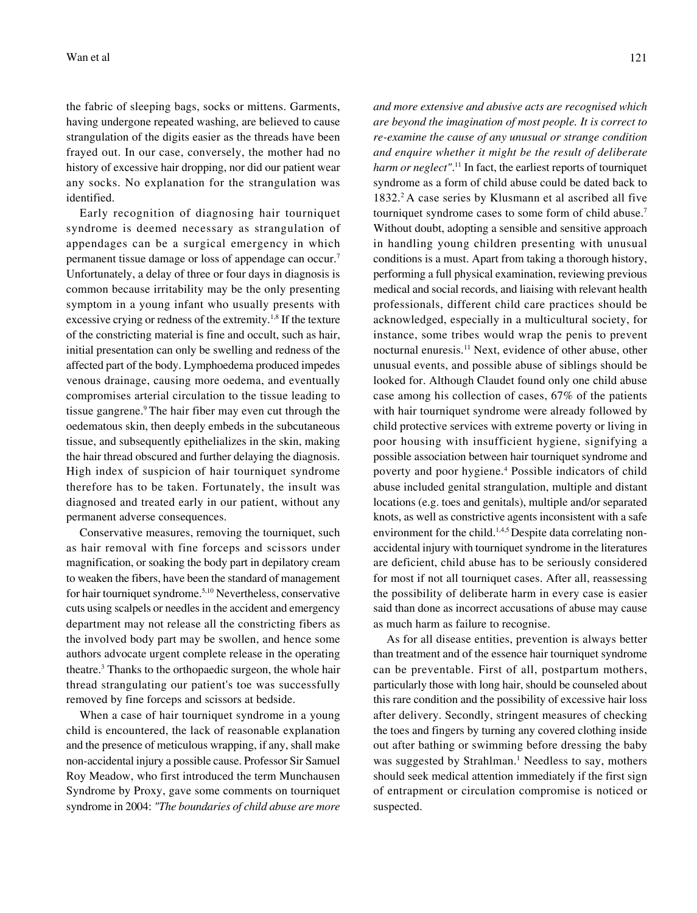the fabric of sleeping bags, socks or mittens. Garments, having undergone repeated washing, are believed to cause strangulation of the digits easier as the threads have been frayed out. In our case, conversely, the mother had no history of excessive hair dropping, nor did our patient wear any socks. No explanation for the strangulation was identified.

Early recognition of diagnosing hair tourniquet syndrome is deemed necessary as strangulation of appendages can be a surgical emergency in which permanent tissue damage or loss of appendage can occur.7 Unfortunately, a delay of three or four days in diagnosis is common because irritability may be the only presenting symptom in a young infant who usually presents with excessive crying or redness of the extremity.<sup>1,8</sup> If the texture of the constricting material is fine and occult, such as hair, initial presentation can only be swelling and redness of the affected part of the body. Lymphoedema produced impedes venous drainage, causing more oedema, and eventually compromises arterial circulation to the tissue leading to tissue gangrene.<sup>9</sup> The hair fiber may even cut through the oedematous skin, then deeply embeds in the subcutaneous tissue, and subsequently epithelializes in the skin, making the hair thread obscured and further delaying the diagnosis. High index of suspicion of hair tourniquet syndrome therefore has to be taken. Fortunately, the insult was diagnosed and treated early in our patient, without any permanent adverse consequences.

Conservative measures, removing the tourniquet, such as hair removal with fine forceps and scissors under magnification, or soaking the body part in depilatory cream to weaken the fibers, have been the standard of management for hair tourniquet syndrome.5,10 Nevertheless, conservative cuts using scalpels or needles in the accident and emergency department may not release all the constricting fibers as the involved body part may be swollen, and hence some authors advocate urgent complete release in the operating theatre.3 Thanks to the orthopaedic surgeon, the whole hair thread strangulating our patient's toe was successfully removed by fine forceps and scissors at bedside.

When a case of hair tourniquet syndrome in a young child is encountered, the lack of reasonable explanation and the presence of meticulous wrapping, if any, shall make non-accidental injury a possible cause. Professor Sir Samuel Roy Meadow, who first introduced the term Munchausen Syndrome by Proxy, gave some comments on tourniquet syndrome in 2004: *"The boundaries of child abuse are more* *and more extensive and abusive acts are recognised which are beyond the imagination of most people. It is correct to re-examine the cause of any unusual or strange condition and enquire whether it might be the result of deliberate harm or neglect"*. 11 In fact, the earliest reports of tourniquet syndrome as a form of child abuse could be dated back to 1832.2 A case series by Klusmann et al ascribed all five tourniquet syndrome cases to some form of child abuse.7 Without doubt, adopting a sensible and sensitive approach in handling young children presenting with unusual conditions is a must. Apart from taking a thorough history, performing a full physical examination, reviewing previous medical and social records, and liaising with relevant health professionals, different child care practices should be acknowledged, especially in a multicultural society, for instance, some tribes would wrap the penis to prevent nocturnal enuresis.11 Next, evidence of other abuse, other unusual events, and possible abuse of siblings should be looked for. Although Claudet found only one child abuse case among his collection of cases, 67% of the patients with hair tourniquet syndrome were already followed by child protective services with extreme poverty or living in poor housing with insufficient hygiene, signifying a possible association between hair tourniquet syndrome and poverty and poor hygiene.<sup>4</sup> Possible indicators of child abuse included genital strangulation, multiple and distant locations (e.g. toes and genitals), multiple and/or separated knots, as well as constrictive agents inconsistent with a safe environment for the child.<sup>1,4,5</sup> Despite data correlating nonaccidental injury with tourniquet syndrome in the literatures are deficient, child abuse has to be seriously considered for most if not all tourniquet cases. After all, reassessing the possibility of deliberate harm in every case is easier said than done as incorrect accusations of abuse may cause as much harm as failure to recognise.

As for all disease entities, prevention is always better than treatment and of the essence hair tourniquet syndrome can be preventable. First of all, postpartum mothers, particularly those with long hair, should be counseled about this rare condition and the possibility of excessive hair loss after delivery. Secondly, stringent measures of checking the toes and fingers by turning any covered clothing inside out after bathing or swimming before dressing the baby was suggested by Strahlman.<sup>1</sup> Needless to say, mothers should seek medical attention immediately if the first sign of entrapment or circulation compromise is noticed or suspected.